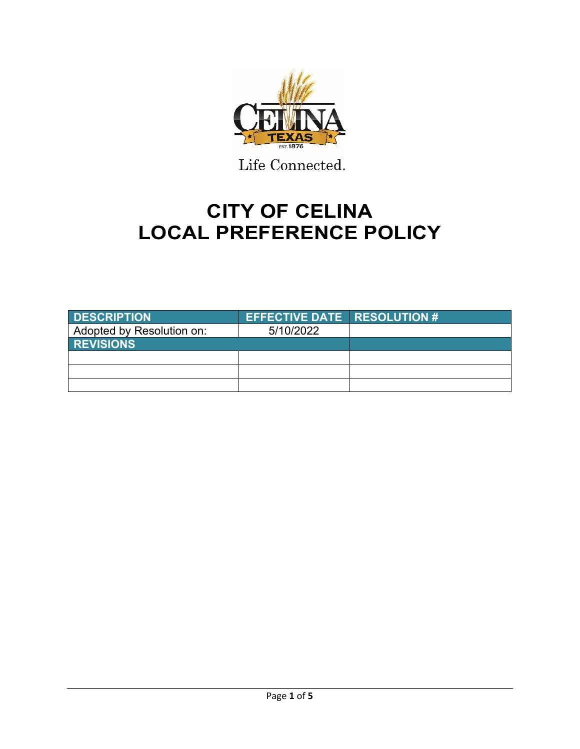

Life Connected.

# **CITY OF CELINA LOCAL PREFERENCE POLICY**

| <b>DESCRIPTION</b>        | <b>EFFECTIVE DATE RESOLUTION #</b> |  |
|---------------------------|------------------------------------|--|
| Adopted by Resolution on: | 5/10/2022                          |  |
| <b>REVISIONS</b>          |                                    |  |
|                           |                                    |  |
|                           |                                    |  |
|                           |                                    |  |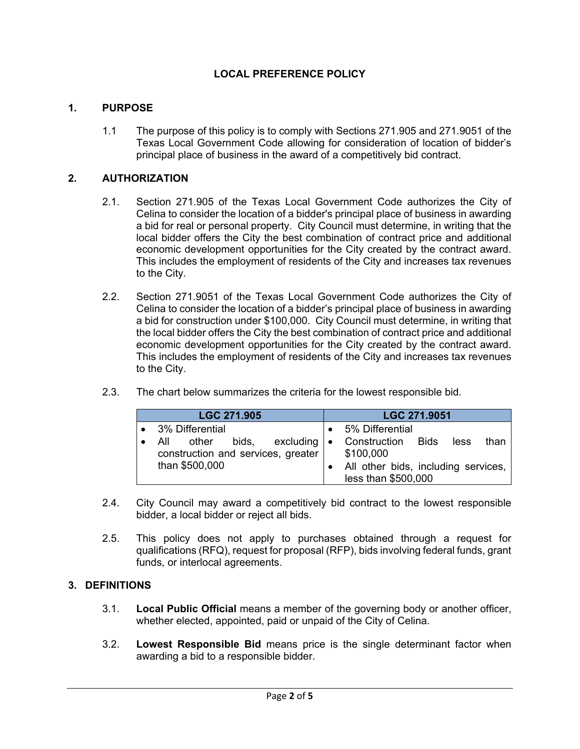# **LOCAL PREFERENCE POLICY**

### **1. PURPOSE**

1.1 The purpose of this policy is to comply with Sections 271.905 and 271.9051 of the Texas Local Government Code allowing for consideration of location of bidder's principal place of business in the award of a competitively bid contract.

### **2. AUTHORIZATION**

- 2.1. Section 271.905 of the Texas Local Government Code authorizes the City of Celina to consider the location of a bidder's principal place of business in awarding a bid for real or personal property. City Council must determine, in writing that the local bidder offers the City the best combination of contract price and additional economic development opportunities for the City created by the contract award. This includes the employment of residents of the City and increases tax revenues to the City.
- 2.2. Section 271.9051 of the Texas Local Government Code authorizes the City of Celina to consider the location of a bidder's principal place of business in awarding a bid for construction under \$100,000. City Council must determine, in writing that the local bidder offers the City the best combination of contract price and additional economic development opportunities for the City created by the contract award. This includes the employment of residents of the City and increases tax revenues to the City.
- 2.3. The chart below summarizes the criteria for the lowest responsible bid.

| <b>LGC 271.905</b>                                                                                    | LGC 271.9051                                                     |  |  |
|-------------------------------------------------------------------------------------------------------|------------------------------------------------------------------|--|--|
| • 3% Differential                                                                                     | • 5% Differential                                                |  |  |
| All other bids, excluding • Construction Bids<br>construction and services, greater<br>than \$500,000 | less<br>than<br>\$100,000<br>All other bids, including services, |  |  |
|                                                                                                       | less than \$500,000                                              |  |  |

- 2.4. City Council may award a competitively bid contract to the lowest responsible bidder, a local bidder or reject all bids.
- 2.5. This policy does not apply to purchases obtained through a request for qualifications (RFQ), request for proposal (RFP), bids involving federal funds, grant funds, or interlocal agreements.

### **3. DEFINITIONS**

- 3.1. **Local Public Official** means a member of the governing body or another officer, whether elected, appointed, paid or unpaid of the City of Celina.
- 3.2. **Lowest Responsible Bid** means price is the single determinant factor when awarding a bid to a responsible bidder.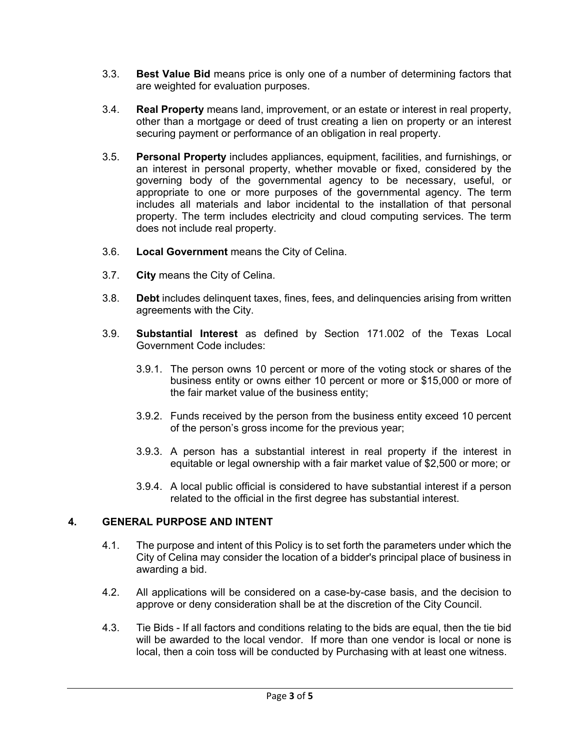- 3.3. **Best Value Bid** means price is only one of a number of determining factors that are weighted for evaluation purposes.
- 3.4. **Real Property** means land, improvement, or an estate or interest in real property, other than a mortgage or deed of trust creating a lien on property or an interest securing payment or performance of an obligation in real property.
- 3.5. **Personal Property** includes appliances, equipment, facilities, and furnishings, or an interest in personal property, whether movable or fixed, considered by the governing body of the governmental agency to be necessary, useful, or appropriate to one or more purposes of the governmental agency. The term includes all materials and labor incidental to the installation of that personal property. The term includes electricity and cloud computing services. The term does not include real property.
- 3.6. **Local Government** means the City of Celina.
- 3.7. **City** means the City of Celina.
- 3.8. **Debt** includes delinquent taxes, fines, fees, and delinquencies arising from written agreements with the City.
- 3.9. **Substantial Interest** as defined by Section 171.002 of the Texas Local Government Code includes:
	- 3.9.1. The person owns 10 percent or more of the voting stock or shares of the business entity or owns either 10 percent or more or \$15,000 or more of the fair market value of the business entity;
	- 3.9.2. Funds received by the person from the business entity exceed 10 percent of the person's gross income for the previous year;
	- 3.9.3. A person has a substantial interest in real property if the interest in equitable or legal ownership with a fair market value of \$2,500 or more; or
	- 3.9.4. A local public official is considered to have substantial interest if a person related to the official in the first degree has substantial interest.

## **4. GENERAL PURPOSE AND INTENT**

- 4.1. The purpose and intent of this Policy is to set forth the parameters under which the City of Celina may consider the location of a bidder's principal place of business in awarding a bid.
- 4.2. All applications will be considered on a case-by-case basis, and the decision to approve or deny consideration shall be at the discretion of the City Council.
- 4.3. Tie Bids If all factors and conditions relating to the bids are equal, then the tie bid will be awarded to the local vendor. If more than one vendor is local or none is local, then a coin toss will be conducted by Purchasing with at least one witness.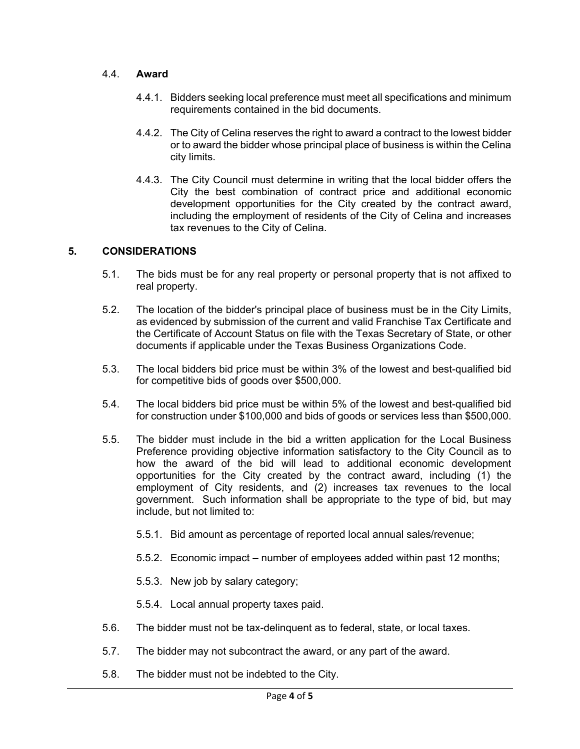### 4.4. **Award**

- 4.4.1. Bidders seeking local preference must meet all specifications and minimum requirements contained in the bid documents.
- 4.4.2. The City of Celina reserves the right to award a contract to the lowest bidder or to award the bidder whose principal place of business is within the Celina city limits.
- 4.4.3. The City Council must determine in writing that the local bidder offers the City the best combination of contract price and additional economic development opportunities for the City created by the contract award, including the employment of residents of the City of Celina and increases tax revenues to the City of Celina.

## **5. CONSIDERATIONS**

- 5.1. The bids must be for any real property or personal property that is not affixed to real property.
- 5.2. The location of the bidder's principal place of business must be in the City Limits, as evidenced by submission of the current and valid Franchise Tax Certificate and the Certificate of Account Status on file with the Texas Secretary of State, or other documents if applicable under the Texas Business Organizations Code.
- 5.3. The local bidders bid price must be within 3% of the lowest and best-qualified bid for competitive bids of goods over \$500,000.
- 5.4. The local bidders bid price must be within 5% of the lowest and best-qualified bid for construction under \$100,000 and bids of goods or services less than \$500,000.
- 5.5. The bidder must include in the bid a written application for the Local Business Preference providing objective information satisfactory to the City Council as to how the award of the bid will lead to additional economic development opportunities for the City created by the contract award, including (1) the employment of City residents, and (2) increases tax revenues to the local government. Such information shall be appropriate to the type of bid, but may include, but not limited to:
	- 5.5.1. Bid amount as percentage of reported local annual sales/revenue;
	- 5.5.2. Economic impact number of employees added within past 12 months;
	- 5.5.3. New job by salary category;
	- 5.5.4. Local annual property taxes paid.
- 5.6. The bidder must not be tax-delinquent as to federal, state, or local taxes.
- 5.7. The bidder may not subcontract the award, or any part of the award.
- 5.8. The bidder must not be indebted to the City.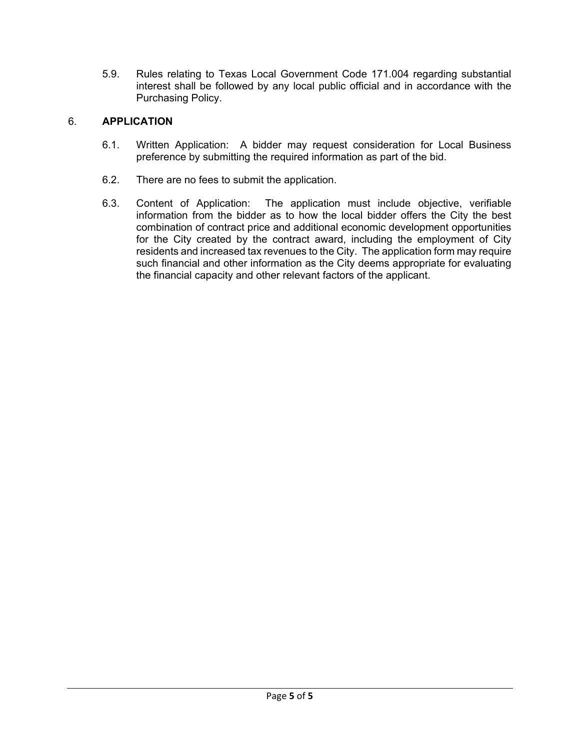5.9. Rules relating to Texas Local Government Code 171.004 regarding substantial interest shall be followed by any local public official and in accordance with the Purchasing Policy.

# 6. **APPLICATION**

- 6.1. Written Application: A bidder may request consideration for Local Business preference by submitting the required information as part of the bid.
- 6.2. There are no fees to submit the application.
- 6.3. Content of Application: The application must include objective, verifiable information from the bidder as to how the local bidder offers the City the best combination of contract price and additional economic development opportunities for the City created by the contract award, including the employment of City residents and increased tax revenues to the City. The application form may require such financial and other information as the City deems appropriate for evaluating the financial capacity and other relevant factors of the applicant.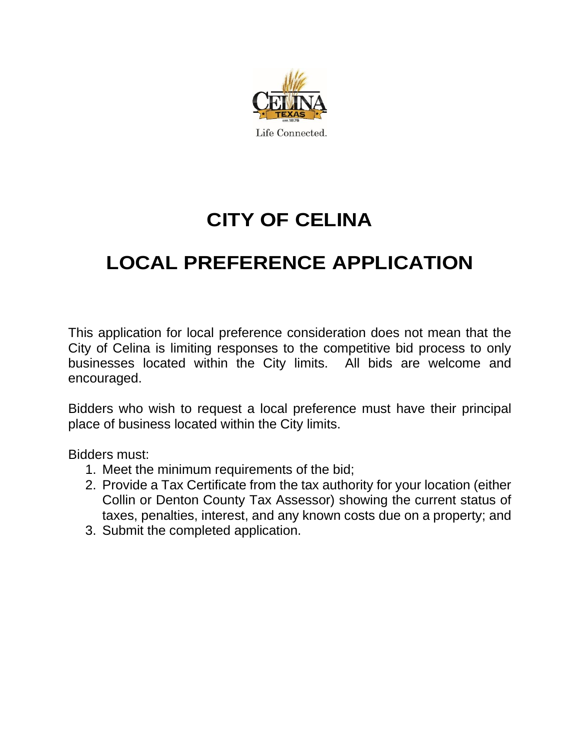

# **CITY OF CELINA**

# **LOCAL PREFERENCE APPLICATION**

This application for local preference consideration does not mean that the City of Celina is limiting responses to the competitive bid process to only businesses located within the City limits. All bids are welcome and encouraged.

Bidders who wish to request a local preference must have their principal place of business located within the City limits.

Bidders must:

- 1. Meet the minimum requirements of the bid;
- 2. Provide a Tax Certificate from the tax authority for your location (either Collin or Denton County Tax Assessor) showing the current status of taxes, penalties, interest, and any known costs due on a property; and
- 3. Submit the completed application.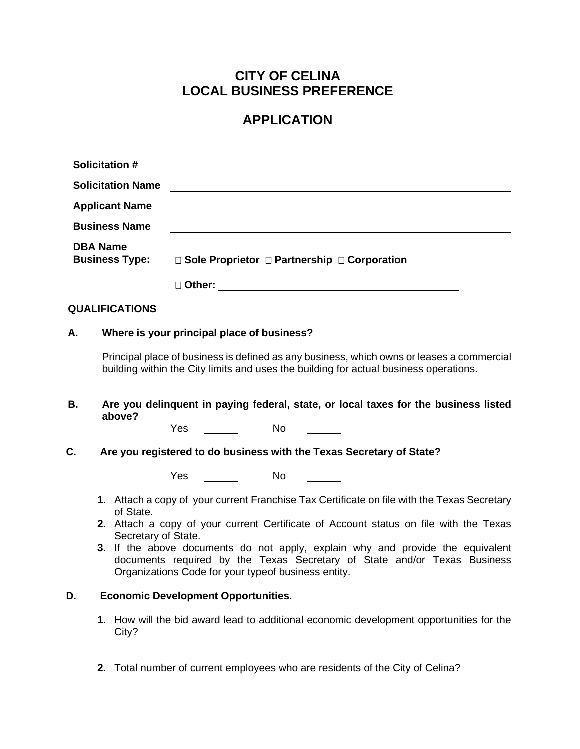# **CITY OF CELINA LOCAL BUSINESS PREFERENCE**

# **APPLICATION**

|                                                                                                                                                                                    | <b>Solicitation #</b>                      |                                                                                                              |                                                     |                                                                                                                                                            |  |
|------------------------------------------------------------------------------------------------------------------------------------------------------------------------------------|--------------------------------------------|--------------------------------------------------------------------------------------------------------------|-----------------------------------------------------|------------------------------------------------------------------------------------------------------------------------------------------------------------|--|
|                                                                                                                                                                                    | <b>Solicitation Name</b>                   |                                                                                                              |                                                     |                                                                                                                                                            |  |
|                                                                                                                                                                                    | <b>Applicant Name</b>                      |                                                                                                              |                                                     |                                                                                                                                                            |  |
|                                                                                                                                                                                    | <b>Business Name</b>                       |                                                                                                              |                                                     |                                                                                                                                                            |  |
| <b>DBA Name</b><br><b>Business Type:</b>                                                                                                                                           |                                            | □ Sole Proprietor □ Partnership □ Corporation                                                                |                                                     |                                                                                                                                                            |  |
|                                                                                                                                                                                    |                                            |                                                                                                              |                                                     |                                                                                                                                                            |  |
|                                                                                                                                                                                    | <b>QUALIFICATIONS</b>                      |                                                                                                              |                                                     |                                                                                                                                                            |  |
| А.                                                                                                                                                                                 | Where is your principal place of business? |                                                                                                              |                                                     |                                                                                                                                                            |  |
| Principal place of business is defined as any business, which owns or leases a commercial<br>building within the City limits and uses the building for actual business operations. |                                            |                                                                                                              |                                                     |                                                                                                                                                            |  |
| В.                                                                                                                                                                                 | above?                                     | Yes                                                                                                          | <b>No</b>                                           | Are you delinquent in paying federal, state, or local taxes for the business listed                                                                        |  |
| C.<br>Are you registered to do business with the Texas Secretary of State?                                                                                                         |                                            |                                                                                                              |                                                     |                                                                                                                                                            |  |
|                                                                                                                                                                                    |                                            | Yes                                                                                                          | <b>No</b>                                           |                                                                                                                                                            |  |
|                                                                                                                                                                                    | of State.                                  | 1. Attach a copy of your current Franchise Tax Certificate on file with the Texas Secretary                  |                                                     |                                                                                                                                                            |  |
|                                                                                                                                                                                    |                                            | 2. Attach a copy of your current Certificate of Account status on file with the Texas<br>Secretary of State. |                                                     |                                                                                                                                                            |  |
|                                                                                                                                                                                    |                                            |                                                                                                              | Organizations Code for your typeof business entity. | 3. If the above documents do not apply, explain why and provide the equivalent<br>documents required by the Texas Secretary of State and/or Texas Business |  |
| D.                                                                                                                                                                                 |                                            | <b>Economic Development Opportunities.</b>                                                                   |                                                     |                                                                                                                                                            |  |
|                                                                                                                                                                                    | City?                                      |                                                                                                              |                                                     | 1. How will the bid award lead to additional economic development opportunities for the                                                                    |  |

**2.** Total number of current employees who are residents of the City of Celina?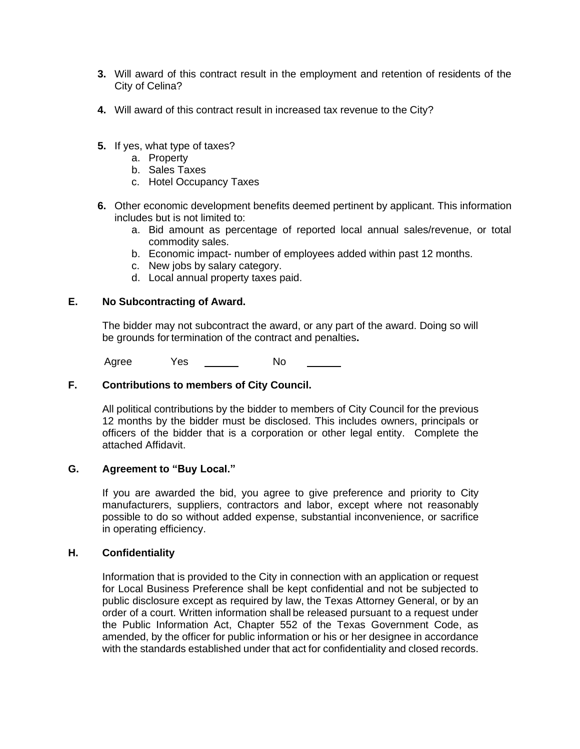- **3.** Will award of this contract result in the employment and retention of residents of the City of Celina?
- **4.** Will award of this contract result in increased tax revenue to the City?
- **5.** If yes, what type of taxes?
	- a. Property
	- b. Sales Taxes
	- c. Hotel Occupancy Taxes
- **6.** Other economic development benefits deemed pertinent by applicant. This information includes but is not limited to:
	- a. Bid amount as percentage of reported local annual sales/revenue, or total commodity sales.
	- b. Economic impact- number of employees added within past 12 months.
	- c. New jobs by salary category.
	- d. Local annual property taxes paid.

#### **E. No Subcontracting of Award.**

The bidder may not subcontract the award, or any part of the award. Doing so will be grounds for termination of the contract and penalties**.**

Agree Yes No

### **F. Contributions to members of City Council.**

All political contributions by the bidder to members of City Council for the previous 12 months by the bidder must be disclosed. This includes owners, principals or officers of the bidder that is a corporation or other legal entity. Complete the attached Affidavit.

### **G. Agreement to "Buy Local."**

If you are awarded the bid, you agree to give preference and priority to City manufacturers, suppliers, contractors and labor, except where not reasonably possible to do so without added expense, substantial inconvenience, or sacrifice in operating efficiency.

#### **H. Confidentiality**

Information that is provided to the City in connection with an application or request for Local Business Preference shall be kept confidential and not be subjected to public disclosure except as required by law, the Texas Attorney General, or by an order of a court. Written information shall be released pursuant to a request under the Public Information Act, Chapter 552 of the Texas Government Code, as amended, by the officer for public information or his or her designee in accordance with the standards established under that act for confidentiality and closed records.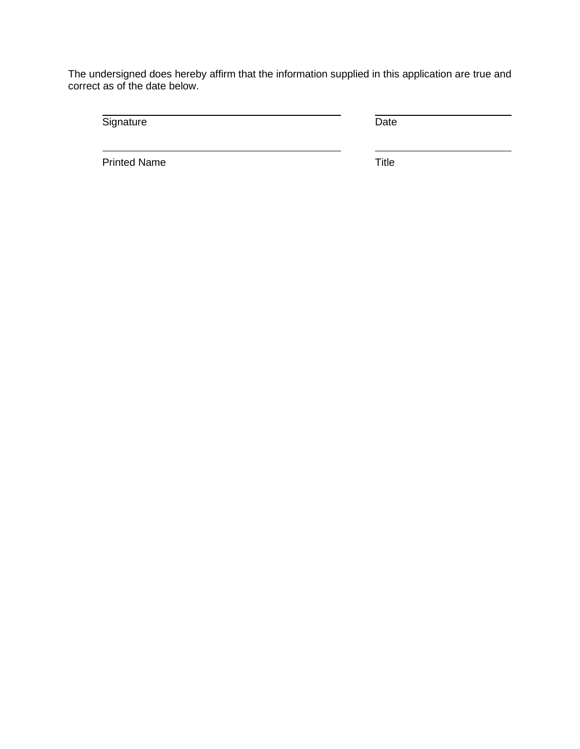The undersigned does hereby affirm that the information supplied in this application are true and correct as of the date below.

Signature Date

Printed Name Title